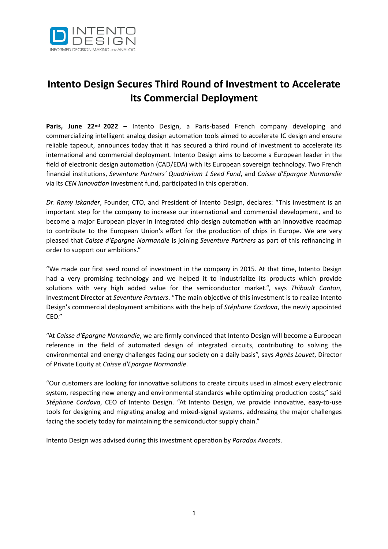

# **Intento Design Secures Third Round of Investment to Accelerate Its Commercial Deployment**

**Paris, June 22nd 2022 –** Intento Design, a Paris-based French company developing and commercializing intelligent analog design automation tools aimed to accelerate IC design and ensure reliable tapeout, announces today that it has secured a third round of investment to accelerate its international and commercial deployment. Intento Design aims to become a European leader in the field of electronic design automation (CAD/EDA) with its European sovereign technology. Two French financial institutions, *Seventure Partners' Quadrivium 1 Seed Fund*, and *Caisse d'Epargne Normandie* via its *CEN Innovation* investment fund, participated in this operation.

*Dr. Ramy Iskander*, Founder, CTO, and President of Intento Design, declares: "This investment is an important step for the company to increase our international and commercial development, and to become a major European player in integrated chip design automation with an innovative roadmap to contribute to the European Union's effort for the production of chips in Europe. We are very pleased that *Caisse d'Epargne Normandie* is joining *Seventure Partners* as part of this refinancing in order to support our ambitions."

"We made our first seed round of investment in the company in 2015. At that time, Intento Design had a very promising technology and we helped it to industrialize its products which provide solutions with very high added value for the semiconductor market.", says *Thibault Canton*, Investment Director at *Seventure Partners*. "The main objective of this investment is to realize Intento Design's commercial deployment ambitions with the help of *Stéphane Cordova*, the newly appointed CEO."

"At *Caisse d'Epargne Normandie*, we are firmly convinced that Intento Design will become a European reference in the field of automated design of integrated circuits, contributing to solving the environmental and energy challenges facing our society on a daily basis", says *Agnès Louvet*, Director of Private Equity at *Caisse d'Epargne Normandie*.

"Our customers are looking for innovative solutions to create circuits used in almost every electronic system, respecting new energy and environmental standards while optimizing production costs," said *Stéphane Cordova*, CEO of Intento Design. "At Intento Design, we provide innovative, easy-to-use tools for designing and migrating analog and mixed-signal systems, addressing the major challenges facing the society today for maintaining the semiconductor supply chain."

Intento Design was advised during this investment operation by *Paradox Avocats*.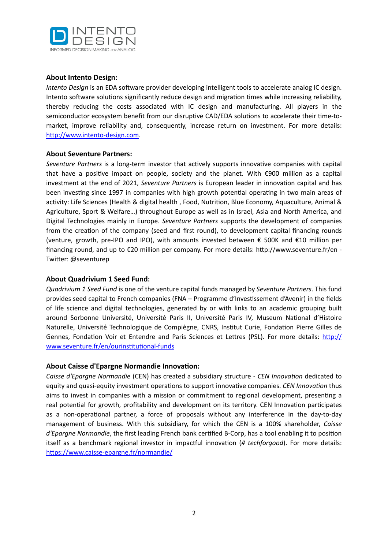

### **About Intento Design:**

*Intento Design* is an EDA software provider developing intelligent tools to accelerate analog IC design. Intento software solutions significantly reduce design and migration times while increasing reliability, thereby reducing the costs associated with IC design and manufacturing. All players in the semiconductor ecosystem benefit from our disruptive CAD/EDA solutions to accelerate their time-tomarket, improve reliability and, consequently, increase return on investment. For more details: <http://www.intento-design.com>.

#### **About Seventure Partners:**

*Seventure Partners* is a long-term investor that actively supports innovative companies with capital that have a positive impact on people, society and the planet. With €900 million as a capital investment at the end of 2021, *Seventure Partners* is European leader in innovation capital and has been investing since 1997 in companies with high growth potential operating in two main areas of activity: Life Sciences (Health & digital health , Food, Nutrition, Blue Economy, Aquaculture, Animal & Agriculture, Sport & Welfare…) throughout Europe as well as in Israel, Asia and North America, and Digital Technologies mainly in Europe. *Seventure Partners* supports the development of companies from the creation of the company (seed and first round), to development capital financing rounds (venture, growth, pre-IPO and IPO), with amounts invested between € 500K and €10 million per financing round, and up to €20 million per company. For more details: http://www.seventure.fr/en - Twitter: @seventurep

#### **About Quadrivium 1 Seed Fund:**

*Quadrivium 1 Seed Fund* is one of the venture capital funds managed by *Seventure Partners*. This fund provides seed capital to French companies (FNA – Programme d'Investissement d'Avenir) in the fields of life science and digital technologies, generated by or with links to an academic grouping built around Sorbonne Université, Université Paris II, Université Paris IV, Museum National d'Histoire Naturelle, Université Technologique de Compiègne, CNRS, Institut Curie, Fondation Pierre Gilles de Gennes, Fondation Voir et Entendre and Paris Sciences et Lettres (PSL). For more details: [http://](http://www.seventure.fr/en/ourinstitutional-funds) [www.seventure.fr/en/ourinstitutional-funds](http://www.seventure.fr/en/ourinstitutional-funds)

#### **About Caisse d'Epargne Normandie Innovation:**

*Caisse d'Epargne Normandie* (CEN) has created a subsidiary structure - *CEN Innovation* dedicated to equity and quasi-equity investment operations to support innovative companies. *CEN Innovation* thus aims to invest in companies with a mission or commitment to regional development, presenting a real potential for growth, profitability and development on its territory. CEN Innovation participates as a non-operational partner, a force of proposals without any interference in the day-to-day management of business. With this subsidiary, for which the CEN is a 100% shareholder, *Caisse d'Epargne Normandie*, the first leading French bank certified B-Corp, has a tool enabling it to position itself as a benchmark regional investor in impactful innovation (*# techforgood*). For more details: <https://www.caisse-epargne.fr/normandie/>